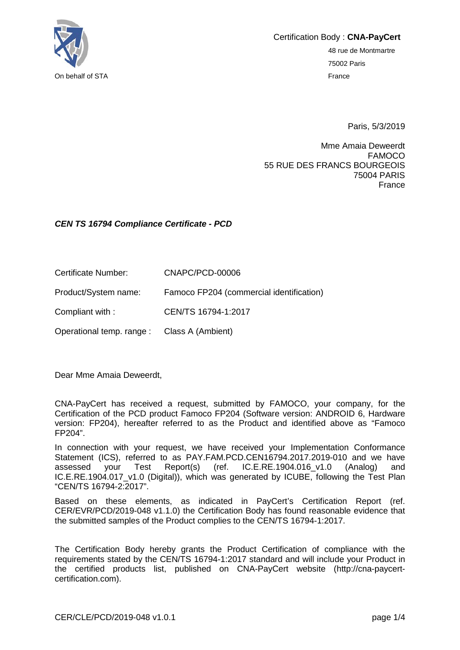

Certification Body : **CNA-PayCert** 48 rue de Montmartre 75002 Paris

Paris, 5/3/2019

Mme Amaia Deweerdt FAMOCO 55 RUE DES FRANCS BOURGEOIS 75004 PARIS France

#### *CEN TS 16794 Compliance Certificate - PCD*

| Certificate Number:  | CNAPC/PCD-00006                          |
|----------------------|------------------------------------------|
| Product/System name: | Famoco FP204 (commercial identification) |
| Compliant with:      | CEN/TS 16794-1:2017                      |

Operational temp. range : Class A (Ambient)

Dear Mme Amaia Deweerdt,

CNA-PayCert has received a request, submitted by FAMOCO, your company, for the Certification of the PCD product Famoco FP204 (Software version: ANDROID 6, Hardware version: FP204), hereafter referred to as the Product and identified above as "Famoco FP204".

In connection with your request, we have received your Implementation Conformance Statement (ICS), referred to as PAY.FAM.PCD.CEN16794.2017.2019-010 and we have assessed your Test Report(s) (ref. IC.E.RE.1904.016\_v1.0 (Analog) and IC.E.RE.1904.017\_v1.0 (Digital)), which was generated by ICUBE, following the Test Plan "CEN/TS 16794-2:2017".

Based on these elements, as indicated in PayCert's Certification Report (ref. CER/EVR/PCD/2019-048 v1.1.0) the Certification Body has found reasonable evidence that the submitted samples of the Product complies to the CEN/TS 16794-1:2017.

The Certification Body hereby grants the Product Certification of compliance with the requirements stated by the CEN/TS 16794-1:2017 standard and will include your Product in the certified products list, published on CNA-PayCert website (http://cna-paycertcertification.com).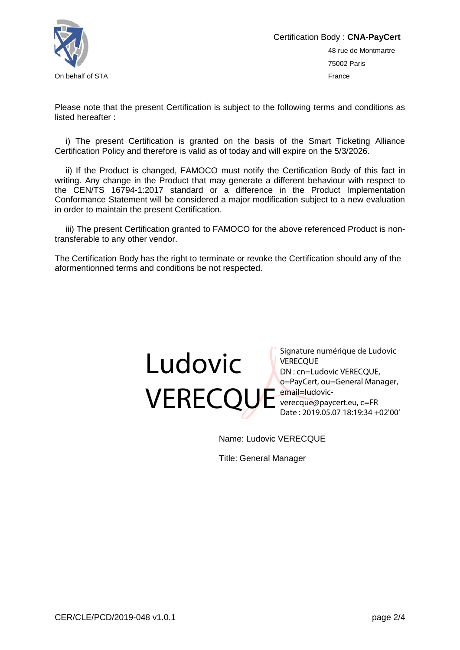

Please note that the present Certification is subject to the following terms and conditions as listed hereafter :

i) The present Certification is granted on the basis of the Smart Ticketing Alliance Certification Policy and therefore is valid as of today and will expire on the 5/3/2026.

ii) If the Product is changed, FAMOCO must notify the Certification Body of this fact in writing. Any change in the Product that may generate a different behaviour with respect to the CEN/TS 16794-1:2017 standard or a difference in the Product Implementation Conformance Statement will be considered a major modification subject to a new evaluation in order to maintain the present Certification.

iii) The present Certification granted to FAMOCO for the above referenced Product is nontransferable to any other vendor.

The Certification Body has the right to terminate or revoke the Certification should any of the aformentionned terms and conditions be not respected.



Signature numérique de Ludovic **VERECOUE** DN : cn=Ludovic VERECQUE, o=PayCert, ou=General Manager, verecque@paycert.eu, c=FR Date : 2019.05.07 18:19:34 +02'00'

Name: Ludovic VERECQUE

Title: General Manager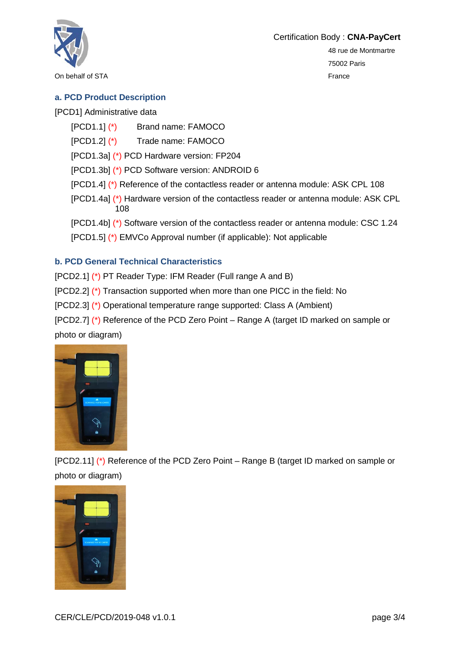

On behalf of STA France

48 rue de Montmartre 75002 Paris

# **a. PCD Product Description**

[PCD1] Administrative data

- [PCD1.1] (\*) Brand name: FAMOCO
- [PCD1.2] (\*) Trade name: FAMOCO

[PCD1.3a] (\*) PCD Hardware version: FP204

[PCD1.3b] (\*) PCD Software version: ANDROID 6

- [PCD1.4] (\*) Reference of the contactless reader or antenna module: ASK CPL 108
- [PCD1.4a] (\*) Hardware version of the contactless reader or antenna module: ASK CPL 108
- [PCD1.4b] (\*) Software version of the contactless reader or antenna module: CSC 1.24
- [PCD1.5] (\*) EMVCo Approval number (if applicable): Not applicable

# **b. PCD General Technical Characteristics**

[PCD2.1] (\*) PT Reader Type: IFM Reader (Full range A and B)

[PCD2.2] (\*) Transaction supported when more than one PICC in the field: No

[PCD2.3] (\*) Operational temperature range supported: Class A (Ambient)

[PCD2.7] (\*) Reference of the PCD Zero Point – Range A (target ID marked on sample or photo or diagram)



[PCD2.11] (\*) Reference of the PCD Zero Point – Range B (target ID marked on sample or photo or diagram)